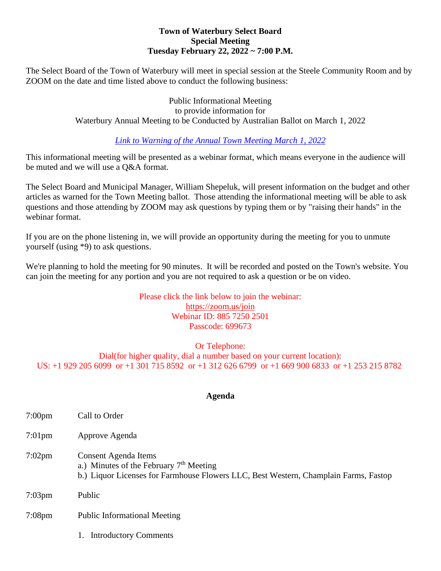### **Town of Waterbury Select Board Special Meeting Tuesday February 22, 2022 ~ 7:00 P.M.**

The Select Board of the Town of Waterbury will meet in special session at the Steele Community Room and by ZOOM on the date and time listed above to conduct the following business:

> Public Informational Meeting to provide information for Waterbury Annual Meeting to be Conducted by Australian Ballot on March 1, 2022

# *[Link to Warning of the Annual Town Meeting March 1, 2022](file://///dc01/users/clawrence/Town%20Report%202022/PDFs/a1_Warning%202022%20Waterbury%20Annual%20Meeting.pdf)*

This informational meeting will be presented as a webinar format, which means everyone in the audience will be muted and we will use a Q&A format.

The Select Board and Municipal Manager, William Shepeluk, will present information on the budget and other articles as warned for the Town Meeting ballot. Those attending the informational meeting will be able to ask questions and those attending by ZOOM may ask questions by typing them or by "raising their hands" in the webinar format.

If you are on the phone listening in, we will provide an opportunity during the meeting for you to unmute yourself (using \*9) to ask questions.

We're planning to hold the meeting for 90 minutes. It will be recorded and posted on the Town's website. You can join the meeting for any portion and you are not required to ask a question or be on video.

### Please click the link below to join the webinar: <https://zoom.us/join> Webinar ID: 885 7250 2501 Passcode: 699673

## Or Telephone:

Dial(for higher quality, dial a number based on your current location): US: +1 929 205 6099 or +1 301 715 8592 or +1 312 626 6799 or +1 669 900 6833 or +1 253 215 8782

#### **Agenda**

- 7:00pm Call to Order
- 7:01pm Approve Agenda
- 7:02pm Consent Agenda Items
	- a.) Minutes of the February  $7<sup>th</sup>$  Meeting
	- b.) Liquor Licenses for Farmhouse Flowers LLC, Best Western, Champlain Farms, Fastop
- 7:03pm Public
- 7:08pm Public Informational Meeting
	- 1. Introductory Comments